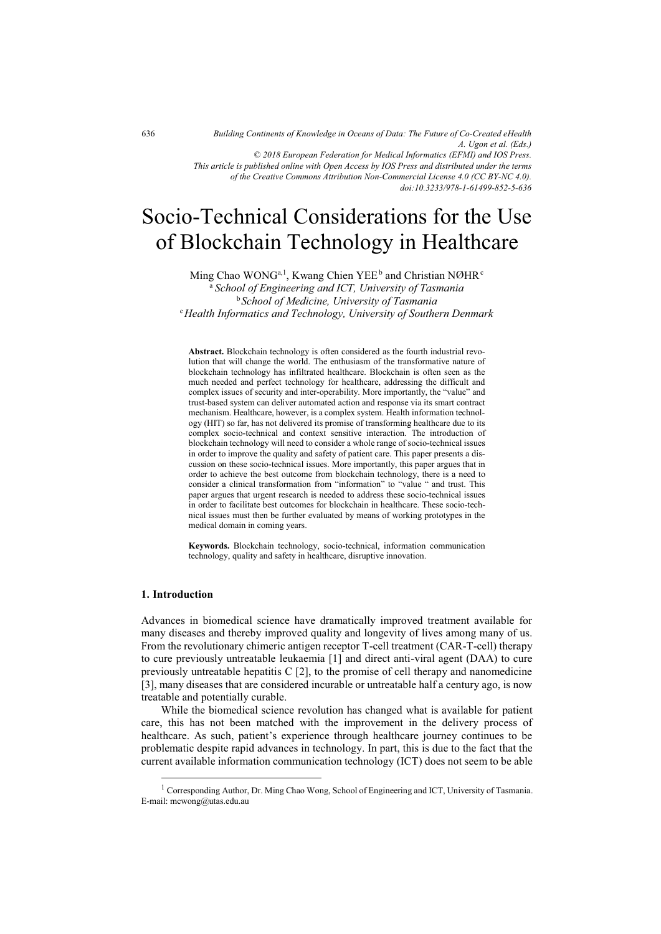*Building Continents of Knowledge in Oceans of Data: The Future of Co-Created eHealth A. Ugon et al. (Eds.) © 2018 European Federation for Medical Informatics (EFMI) and IOS Press. This article is published online with Open Access by IOS Press and distributed under the terms of the Creative Commons Attribution Non-Commercial License 4.0 (CC BY-NC 4.0). doi:10.3233/978-1-61499-852-5-636*

# Socio-Technical Considerations for the Use of Blockchain Technology in Healthcare

Ming Chao WONG<sup>a,1</sup>, Kwang Chien YEE<sup>b</sup> and Christian NØHR $^{\circ}$ a  *School of Engineering and ICT, University of Tasmania*  <sup>b</sup> *School of Medicine, University of Tasmania* <sup>c</sup>*Health Informatics and Technology, University of Southern Denmark* 

**Abstract.** Blockchain technology is often considered as the fourth industrial revolution that will change the world. The enthusiasm of the transformative nature of blockchain technology has infiltrated healthcare. Blockchain is often seen as the much needed and perfect technology for healthcare, addressing the difficult and complex issues of security and inter-operability. More importantly, the "value" and trust-based system can deliver automated action and response via its smart contract mechanism. Healthcare, however, is a complex system. Health information technology (HIT) so far, has not delivered its promise of transforming healthcare due to its complex socio-technical and context sensitive interaction. The introduction of blockchain technology will need to consider a whole range of socio-technical issues in order to improve the quality and safety of patient care. This paper presents a discussion on these socio-technical issues. More importantly, this paper argues that in order to achieve the best outcome from blockchain technology, there is a need to consider a clinical transformation from "information" to "value " and trust. This paper argues that urgent research is needed to address these socio-technical issues in order to facilitate best outcomes for blockchain in healthcare. These socio-technical issues must then be further evaluated by means of working prototypes in the medical domain in coming years.

**Keywords.** Blockchain technology, socio-technical, information communication technology, quality and safety in healthcare, disruptive innovation.

### **1. Introduction**

j

Advances in biomedical science have dramatically improved treatment available for many diseases and thereby improved quality and longevity of lives among many of us. From the revolutionary chimeric antigen receptor T-cell treatment (CAR-T-cell) therapy to cure previously untreatable leukaemia [1] and direct anti-viral agent (DAA) to cure previously untreatable hepatitis C [2], to the promise of cell therapy and nanomedicine [3], many diseases that are considered incurable or untreatable half a century ago, is now treatable and potentially curable.

While the biomedical science revolution has changed what is available for patient care, this has not been matched with the improvement in the delivery process of healthcare. As such, patient's experience through healthcare journey continues to be problematic despite rapid advances in technology. In part, this is due to the fact that the current available information communication technology (ICT) does not seem to be able

<sup>&</sup>lt;sup>1</sup> Corresponding Author, Dr. Ming Chao Wong, School of Engineering and ICT, University of Tasmania. E-mail: mcwong@utas.edu.au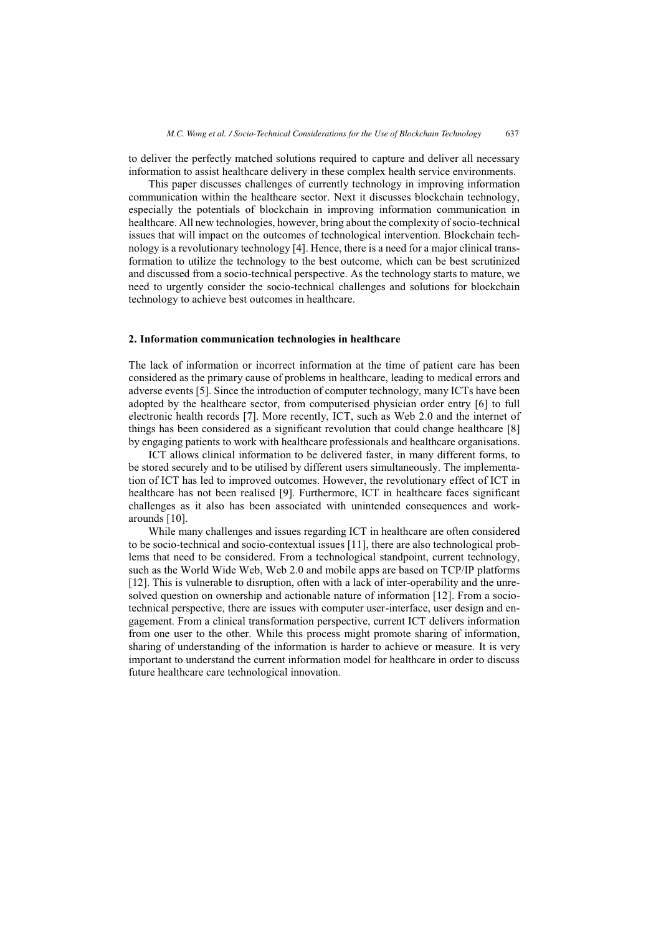to deliver the perfectly matched solutions required to capture and deliver all necessary information to assist healthcare delivery in these complex health service environments.

This paper discusses challenges of currently technology in improving information communication within the healthcare sector. Next it discusses blockchain technology, especially the potentials of blockchain in improving information communication in healthcare. All new technologies, however, bring about the complexity of socio-technical issues that will impact on the outcomes of technological intervention. Blockchain technology is a revolutionary technology [4]. Hence, there is a need for a major clinical transformation to utilize the technology to the best outcome, which can be best scrutinized and discussed from a socio-technical perspective. As the technology starts to mature, we need to urgently consider the socio-technical challenges and solutions for blockchain technology to achieve best outcomes in healthcare.

#### **2. Information communication technologies in healthcare**

The lack of information or incorrect information at the time of patient care has been considered as the primary cause of problems in healthcare, leading to medical errors and adverse events [5]. Since the introduction of computer technology, many ICTs have been adopted by the healthcare sector, from computerised physician order entry [6] to full electronic health records [7]. More recently, ICT, such as Web 2.0 and the internet of things has been considered as a significant revolution that could change healthcare [8] by engaging patients to work with healthcare professionals and healthcare organisations.

ICT allows clinical information to be delivered faster, in many different forms, to be stored securely and to be utilised by different users simultaneously. The implementation of ICT has led to improved outcomes. However, the revolutionary effect of ICT in healthcare has not been realised [9]. Furthermore, ICT in healthcare faces significant challenges as it also has been associated with unintended consequences and workarounds [10].

While many challenges and issues regarding ICT in healthcare are often considered to be socio-technical and socio-contextual issues [11], there are also technological problems that need to be considered. From a technological standpoint, current technology, such as the World Wide Web, Web 2.0 and mobile apps are based on TCP/IP platforms [12]. This is vulnerable to disruption, often with a lack of inter-operability and the unresolved question on ownership and actionable nature of information [12]. From a sociotechnical perspective, there are issues with computer user-interface, user design and engagement. From a clinical transformation perspective, current ICT delivers information from one user to the other. While this process might promote sharing of information, sharing of understanding of the information is harder to achieve or measure. It is very important to understand the current information model for healthcare in order to discuss future healthcare care technological innovation.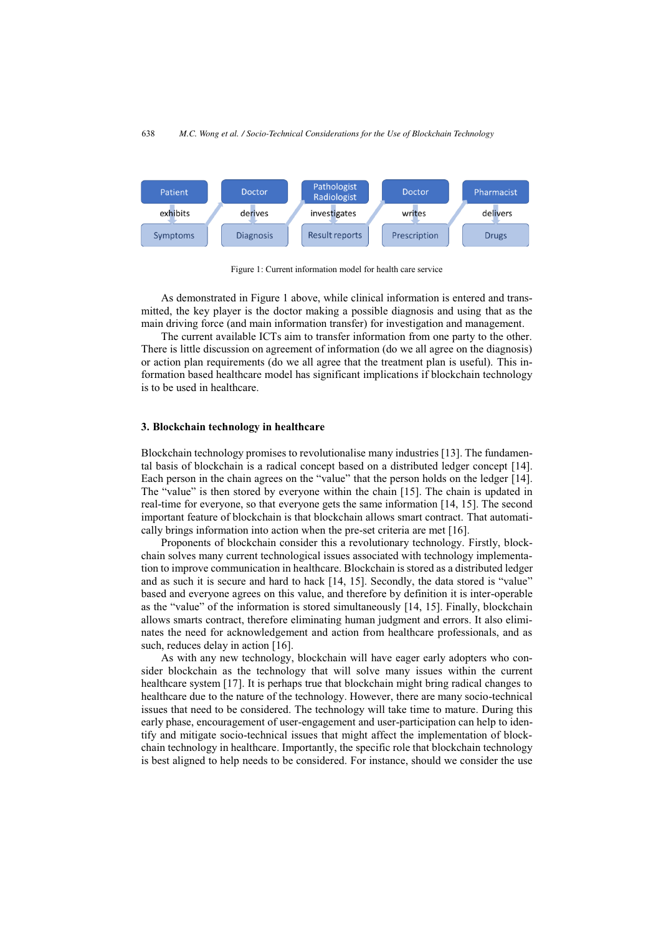

Figure 1: Current information model for health care service

As demonstrated in Figure 1 above, while clinical information is entered and transmitted, the key player is the doctor making a possible diagnosis and using that as the main driving force (and main information transfer) for investigation and management.

The current available ICTs aim to transfer information from one party to the other. There is little discussion on agreement of information (do we all agree on the diagnosis) or action plan requirements (do we all agree that the treatment plan is useful). This information based healthcare model has significant implications if blockchain technology is to be used in healthcare.

#### **3. Blockchain technology in healthcare**

Blockchain technology promises to revolutionalise many industries [13]. The fundamental basis of blockchain is a radical concept based on a distributed ledger concept [14]. Each person in the chain agrees on the "value" that the person holds on the ledger [14]. The "value" is then stored by everyone within the chain [15]. The chain is updated in real-time for everyone, so that everyone gets the same information [14, 15]. The second important feature of blockchain is that blockchain allows smart contract. That automatically brings information into action when the pre-set criteria are met [16].

Proponents of blockchain consider this a revolutionary technology. Firstly, blockchain solves many current technological issues associated with technology implementation to improve communication in healthcare. Blockchain is stored as a distributed ledger and as such it is secure and hard to hack [14, 15]. Secondly, the data stored is "value" based and everyone agrees on this value, and therefore by definition it is inter-operable as the "value" of the information is stored simultaneously [14, 15]. Finally, blockchain allows smarts contract, therefore eliminating human judgment and errors. It also eliminates the need for acknowledgement and action from healthcare professionals, and as such, reduces delay in action [16].

As with any new technology, blockchain will have eager early adopters who consider blockchain as the technology that will solve many issues within the current healthcare system [17]. It is perhaps true that blockchain might bring radical changes to healthcare due to the nature of the technology. However, there are many socio-technical issues that need to be considered. The technology will take time to mature. During this early phase, encouragement of user-engagement and user-participation can help to identify and mitigate socio-technical issues that might affect the implementation of blockchain technology in healthcare. Importantly, the specific role that blockchain technology is best aligned to help needs to be considered. For instance, should we consider the use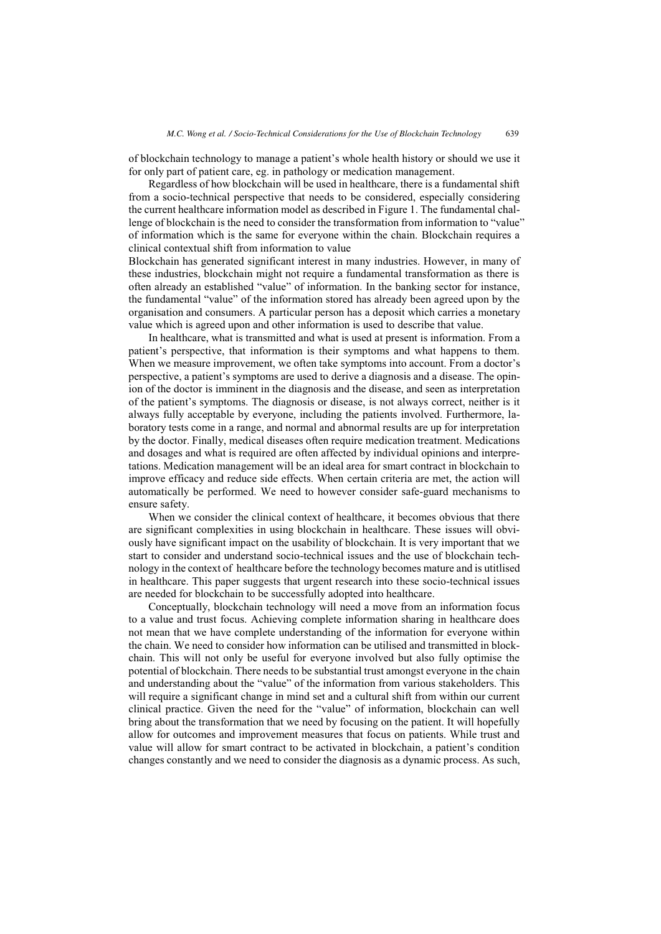of blockchain technology to manage a patient's whole health history or should we use it for only part of patient care, eg. in pathology or medication management.

Regardless of how blockchain will be used in healthcare, there is a fundamental shift from a socio-technical perspective that needs to be considered, especially considering the current healthcare information model as described in Figure 1. The fundamental challenge of blockchain is the need to consider the transformation from information to "value" of information which is the same for everyone within the chain. Blockchain requires a clinical contextual shift from information to value

Blockchain has generated significant interest in many industries. However, in many of these industries, blockchain might not require a fundamental transformation as there is often already an established "value" of information. In the banking sector for instance, the fundamental "value" of the information stored has already been agreed upon by the organisation and consumers. A particular person has a deposit which carries a monetary value which is agreed upon and other information is used to describe that value.

In healthcare, what is transmitted and what is used at present is information. From a patient's perspective, that information is their symptoms and what happens to them. When we measure improvement, we often take symptoms into account. From a doctor's perspective, a patient's symptoms are used to derive a diagnosis and a disease. The opinion of the doctor is imminent in the diagnosis and the disease, and seen as interpretation of the patient's symptoms. The diagnosis or disease, is not always correct, neither is it always fully acceptable by everyone, including the patients involved. Furthermore, laboratory tests come in a range, and normal and abnormal results are up for interpretation by the doctor. Finally, medical diseases often require medication treatment. Medications and dosages and what is required are often affected by individual opinions and interpretations. Medication management will be an ideal area for smart contract in blockchain to improve efficacy and reduce side effects. When certain criteria are met, the action will automatically be performed. We need to however consider safe-guard mechanisms to ensure safety.

When we consider the clinical context of healthcare, it becomes obvious that there are significant complexities in using blockchain in healthcare. These issues will obviously have significant impact on the usability of blockchain. It is very important that we start to consider and understand socio-technical issues and the use of blockchain technology in the context of healthcare before the technology becomes mature and is utitlised in healthcare. This paper suggests that urgent research into these socio-technical issues are needed for blockchain to be successfully adopted into healthcare.

Conceptually, blockchain technology will need a move from an information focus to a value and trust focus. Achieving complete information sharing in healthcare does not mean that we have complete understanding of the information for everyone within the chain. We need to consider how information can be utilised and transmitted in blockchain. This will not only be useful for everyone involved but also fully optimise the potential of blockchain. There needs to be substantial trust amongst everyone in the chain and understanding about the "value" of the information from various stakeholders. This will require a significant change in mind set and a cultural shift from within our current clinical practice. Given the need for the "value" of information, blockchain can well bring about the transformation that we need by focusing on the patient. It will hopefully allow for outcomes and improvement measures that focus on patients. While trust and value will allow for smart contract to be activated in blockchain, a patient's condition changes constantly and we need to consider the diagnosis as a dynamic process. As such,